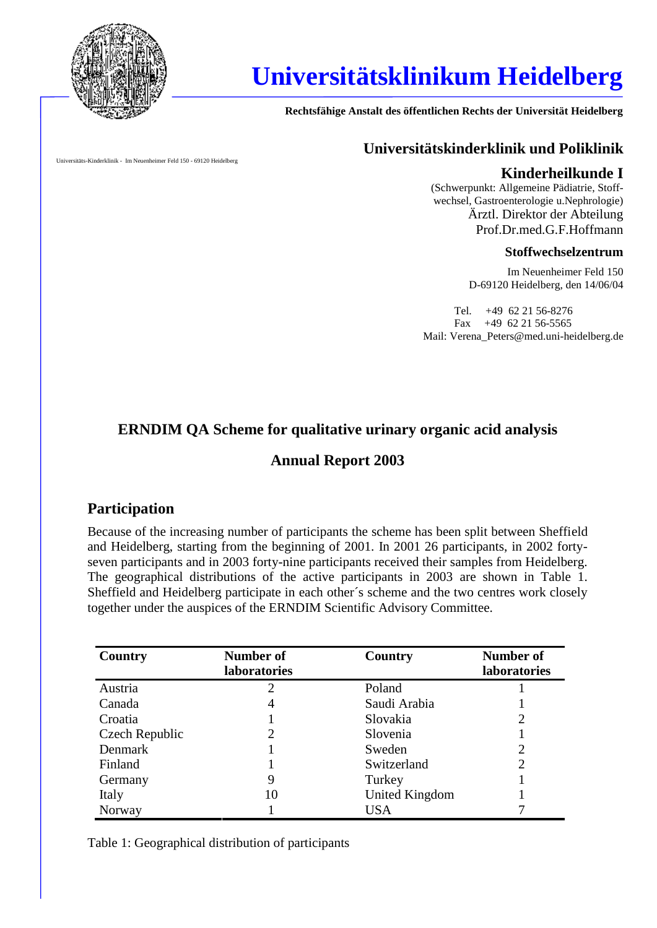

# **Universitätsklinikum Heidelberg**

**Rechtsfähige Anstalt des öffentlichen Rechts der Universität Heidelberg**

Universitäts-Kinderklinik - Im Neuenheimer Feld 150 - 69120 Heidelberg

### **Universitätskinderklinik und Poliklinik**

#### **Kinderheilkunde I**

(Schwerpunkt: Allgemeine Pädiatrie, Stoff wechsel, Gastroenterologie u.Nephrologie) Ärztl. Direktor der Abteilung Prof.Dr.med.G.F.Hoffmann

#### **Stoffwechselzentrum**

Im Neuenheimer Feld 150 D-69120 Heidelberg, den 14/06/04

Tel. +49 62 21 56-8276 Fax +49 62 21 56-5565 Mail: Verena\_Peters@med.uni-heidelberg.de

# **ERNDIM QA Scheme for qualitative urinary organic acid analysis**

# **Annual Report 2003**

# **Participation**

Because of the increasing number of participants the scheme has been split between Sheffield and Heidelberg, starting from the beginning of 2001. In 2001 26 participants, in 2002 forty seven participants and in 2003 forty-nine participants received their samples from Heidelberg. The geographical distributions of the active participants in 2003 are shown in Table 1. Sheffield and Heidelberg participate in each other´s scheme and the two centres work closely together under the auspices of the ERNDIM Scientific Advisory Committee.

| Country        | <b>Number of</b> | Country        | <b>Number of</b>    |  |
|----------------|------------------|----------------|---------------------|--|
|                | laboratories     |                | <b>laboratories</b> |  |
| Austria        | $\overline{c}$   | Poland         |                     |  |
| Canada         | 4                | Saudi Arabia   |                     |  |
| Croatia        |                  | Slovakia       | 2                   |  |
| Czech Republic | 2                | Slovenia       |                     |  |
| Denmark        |                  | Sweden         |                     |  |
| Finland        |                  | Switzerland    | 2                   |  |
| Germany        | 9                | Turkey         |                     |  |
| Italy          | 10               | United Kingdom |                     |  |
| Norway         |                  | <b>USA</b>     |                     |  |

Table 1: Geographical distribution of participants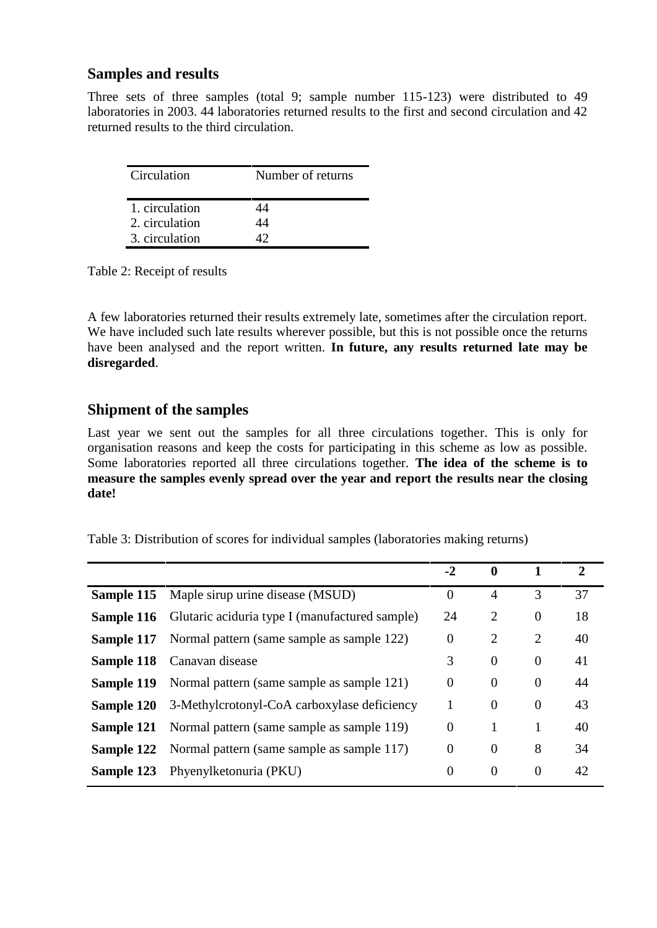### **Samples and results**

Three sets of three samples (total 9; sample number 115-123) were distributed to 49 laboratories in 2003. 44 laboratories returned results to the first and second circulation and 42 returned results to the third circulation.

| Circulation    | Number of returns |
|----------------|-------------------|
| 1. circulation | 14                |
| 2. circulation | 14                |
| 3. circulation |                   |

Table 2: Receipt of results

A few laboratories returned their results extremely late, sometimes after the circulation report. We have included such late results wherever possible, but this is not possible once the returns have been analysed and the report written. **In future, any results returned late may be disregarded**.

# **Shipment of the samples**

Last year we sent out the samples for all three circulations together. This is only for organisation reasons and keep the costs for participating in this scheme as low as possible. Some laboratories reported all three circulations together. **The idea of the scheme is to measure the samples evenly spread over the year and report the results near the closing date!**

|            |                                                                  | $-2$             | $\mathbf 0$    |                | $\overline{2}$ |
|------------|------------------------------------------------------------------|------------------|----------------|----------------|----------------|
| Sample 115 | Maple sirup urine disease (MSUD)                                 | $\Omega$         | $\overline{4}$ | 3              | 37             |
|            | <b>Sample 116</b> Glutaric aciduria type I (manufactured sample) | 24               | 2              | $\overline{0}$ | 18             |
| Sample 117 | Normal pattern (same sample as sample 122)                       | $\boldsymbol{0}$ | $\overline{2}$ | $\overline{2}$ | 40             |
| Sample 118 | Canavan disease                                                  | 3                | $\theta$       | $\mathbf{0}$   | 41             |
|            | <b>Sample 119</b> Normal pattern (same sample as sample 121)     | $\theta$         | $\theta$       | $\theta$       | 44             |
| Sample 120 | 3-Methylcrotonyl-CoA carboxylase deficiency                      | 1                | $\overline{0}$ | $\overline{0}$ | 43             |
| Sample 121 | Normal pattern (same sample as sample 119)                       | $\overline{0}$   | 1              | 1              | 40             |
| Sample 122 | Normal pattern (same sample as sample 117)                       | $\overline{0}$   | $\overline{0}$ | 8              | 34             |
| Sample 123 | Phyenylketonuria (PKU)                                           | $\overline{0}$   | $\overline{0}$ | $\overline{0}$ | 42             |
|            |                                                                  |                  |                |                |                |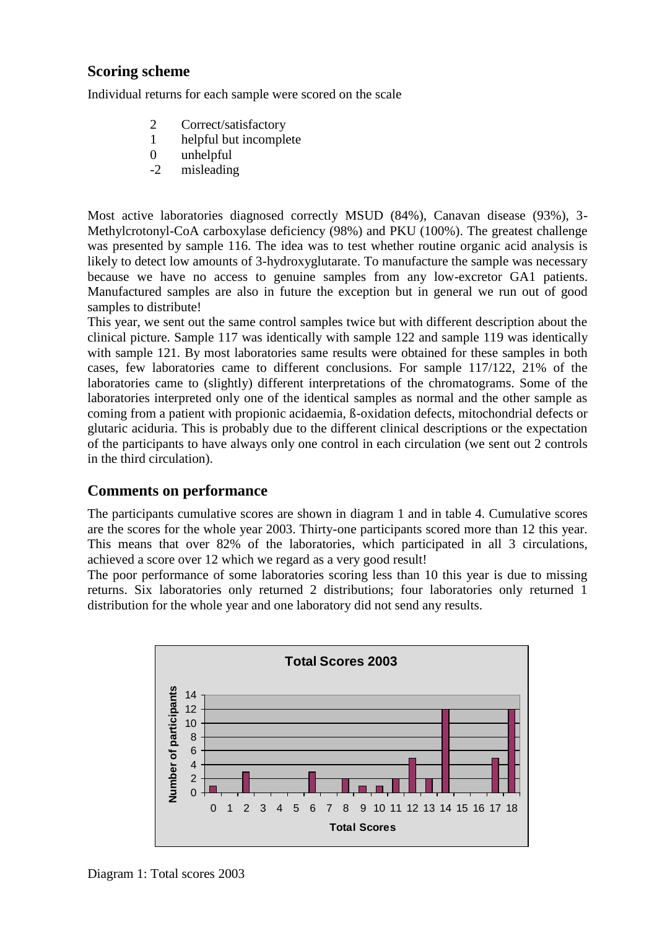# **Scoring scheme**

Individual returns for each sample were scored on the scale

- 2 Correct/satisfactory
- 1 helpful but incomplete
- 0 unhelpful
- -2 misleading

Most active laboratories diagnosed correctly MSUD (84%), Canavan disease (93%), 3- Methylcrotonyl-CoA carboxylase deficiency (98%) and PKU (100%). The greatest challenge was presented by sample 116. The idea was to test whether routine organic acid analysis is likely to detect low amounts of 3-hydroxyglutarate. To manufacture the sample was necessary because we have no access to genuine samples from any low-excretor GA1 patients. Manufactured samples are also in future the exception but in general we run out of good samples to distribute!

This year, we sent out the same control samples twice but with different description about the clinical picture. Sample 117 was identically with sample 122 and sample 119 was identically with sample 121. By most laboratories same results were obtained for these samples in both cases, few laboratories came to different conclusions. For sample 117/122, 21% of the laboratories came to (slightly) different interpretations of the chromatograms. Some of the laboratories interpreted only one of the identical samples as normal and the other sample as coming from a patient with propionic acidaemia, ß-oxidation defects, mitochondrial defects or glutaric aciduria. This is probably due to the different clinical descriptions or the expectation of the participants to have always only one control in each circulation (we sent out 2 controls in the third circulation).

# **Comments on performance**

The participants cumulative scores are shown in diagram 1 and in table 4. Cumulative scores are the scores for the whole year 2003. Thirty-one participants scored more than 12 this year. This means that over 82% of the laboratories, which participated in all 3 circulations, achieved a score over 12 which we regard as a very good result!

The poor performance of some laboratories scoring less than 10 this year is due to missing returns. Six laboratories only returned 2 distributions; four laboratories only returned 1 distribution for the whole year and one laboratory did not send any results.



Diagram 1: Total scores 2003